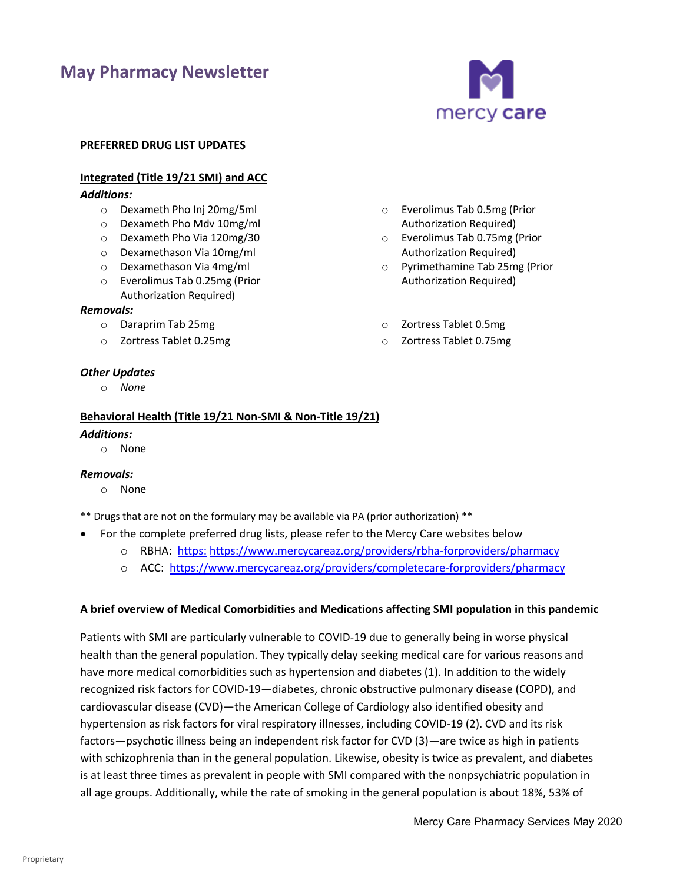# **May Pharmacy Newsletter**



#### **PREFERRED DRUG LIST UPDATES**

# **Integrated (Title 19/21 SMI) and ACC**

# *Additions:*

- o Dexameth Pho Inj 20mg/5ml
- o Dexameth Pho Mdv 10mg/ml
- o Dexameth Pho Via 120mg/30
- o Dexamethason Via 10mg/ml
- o Dexamethason Via 4mg/ml
- o Everolimus Tab 0.25mg (Prior
- Authorization Required)

# *Removals:*

- o Daraprim Tab 25mg
- o Zortress Tablet 0.25mg

# *Other Updates*

o *None*

# **Behavioral Health (Title 19/21 Non-SMI & Non-Title 19/21)**

# *Additions:*

o None

# *Removals:*

- o None
- \*\* Drugs that are not on the formulary may be available via PA (prior authorization) \*\*
- • For the complete preferred drug lists, please refer to the Mercy Care websites below
	- o RBHA: [https:](https://www.mercymaricopa.org/providers/mmic/pharmacy) <https://www.mercycareaz.org/providers/rbha-forproviders/pharmacy>
	- o ACC:<https://www.mercycareaz.org/providers/completecare-forproviders/pharmacy>

# **A brief overview of Medical Comorbidities and Medications affecting SMI population in this pandemic**

 recognized risk factors for COVID-19—diabetes, chronic obstructive pulmonary disease (COPD), and Patients with SMI are particularly vulnerable to COVID-19 due to generally being in worse physical health than the general population. They typically delay seeking medical care for various reasons and have more medical comorbidities such as hypertension and diabetes (1). In addition to the widely cardiovascular disease (CVD)—the American College of Cardiology also identified obesity and hypertension as risk factors for viral respiratory illnesses, including COVID-19 (2). CVD and its risk factors—psychotic illness being an independent risk factor for CVD (3)—are twice as high in patients with schizophrenia than in the general population. Likewise, obesity is twice as prevalent, and diabetes is at least three times as prevalent in people with SMI compared with the nonpsychiatric population in all age groups. Additionally, while the rate of smoking in the general population is about 18%, 53% of

o Everolimus Tab 0.5mg (Prior Authorization Required) o Everolimus Tab 0.75mg (Prior Authorization Required) o Pyrimethamine Tab 25mg (Prior Authorization Required)

- o Zortress Tablet 0.5mg
- o Zortress Tablet 0.75mg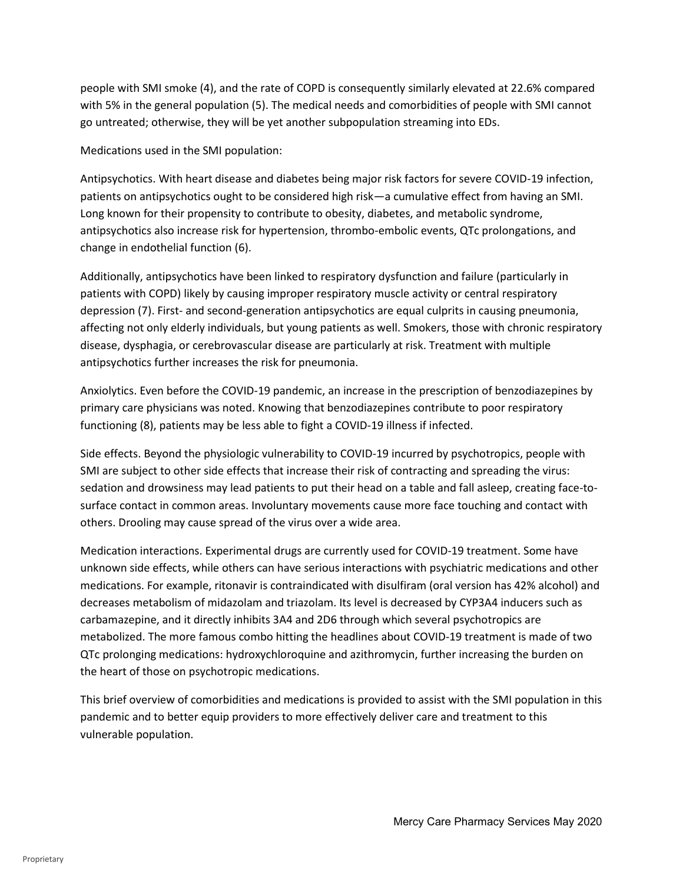people with SMI smoke (4), and the rate of COPD is consequently similarly elevated at 22.6% compared with 5% in the general population (5). The medical needs and comorbidities of people with SMI cannot go untreated; otherwise, they will be yet another subpopulation streaming into EDs.

Medications used in the SMI population:

Antipsychotics. With heart disease and diabetes being major risk factors for severe COVID-19 infection, patients on antipsychotics ought to be considered high risk—a cumulative effect from having an SMI. Long known for their propensity to contribute to obesity, diabetes, and metabolic syndrome, antipsychotics also increase risk for hypertension, thrombo-embolic events, QTc prolongations, and change in endothelial function (6).

Additionally, antipsychotics have been linked to respiratory dysfunction and failure (particularly in patients with COPD) likely by causing improper respiratory muscle activity or central respiratory depression (7). First- and second-generation antipsychotics are equal culprits in causing pneumonia, affecting not only elderly individuals, but young patients as well. Smokers, those with chronic respiratory disease, dysphagia, or cerebrovascular disease are particularly at risk. Treatment with multiple antipsychotics further increases the risk for pneumonia.

Anxiolytics. Even before the COVID-19 pandemic, an increase in the prescription of benzodiazepines by primary care physicians was noted. Knowing that benzodiazepines contribute to poor respiratory functioning (8), patients may be less able to fight a COVID-19 illness if infected.

Side effects. Beyond the physiologic vulnerability to COVID-19 incurred by psychotropics, people with SMI are subject to other side effects that increase their risk of contracting and spreading the virus: sedation and drowsiness may lead patients to put their head on a table and fall asleep, creating face-tosurface contact in common areas. Involuntary movements cause more face touching and contact with others. Drooling may cause spread of the virus over a wide area.

Medication interactions. Experimental drugs are currently used for COVID-19 treatment. Some have unknown side effects, while others can have serious interactions with psychiatric medications and other medications. For example, ritonavir is contraindicated with disulfiram (oral version has 42% alcohol) and decreases metabolism of midazolam and triazolam. Its level is decreased by CYP3A4 inducers such as carbamazepine, and it directly inhibits 3A4 and 2D6 through which several psychotropics are metabolized. The more famous combo hitting the headlines about COVID-19 treatment is made of two QTc prolonging medications: hydroxychloroquine and azithromycin, further increasing the burden on the heart of those on psychotropic medications.

This brief overview of comorbidities and medications is provided to assist with the SMI population in this pandemic and to better equip providers to more effectively deliver care and treatment to this vulnerable population.